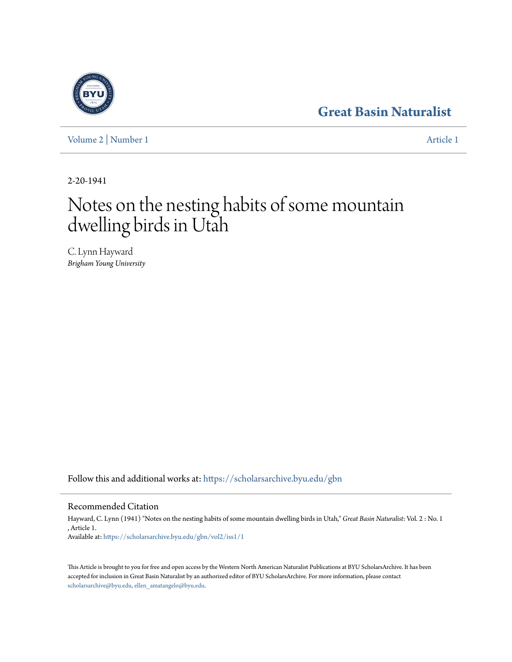# **[Great Basin Naturalist](https://scholarsarchive.byu.edu/gbn?utm_source=scholarsarchive.byu.edu%2Fgbn%2Fvol2%2Fiss1%2F1&utm_medium=PDF&utm_campaign=PDFCoverPages)**

[Volume 2](https://scholarsarchive.byu.edu/gbn/vol2?utm_source=scholarsarchive.byu.edu%2Fgbn%2Fvol2%2Fiss1%2F1&utm_medium=PDF&utm_campaign=PDFCoverPages) | [Number 1](https://scholarsarchive.byu.edu/gbn/vol2/iss1?utm_source=scholarsarchive.byu.edu%2Fgbn%2Fvol2%2Fiss1%2F1&utm_medium=PDF&utm_campaign=PDFCoverPages) [Article 1](https://scholarsarchive.byu.edu/gbn/vol2/iss1/1?utm_source=scholarsarchive.byu.edu%2Fgbn%2Fvol2%2Fiss1%2F1&utm_medium=PDF&utm_campaign=PDFCoverPages)

2-20-1941

# Notes on the nesting habits of some mountain dwelling birds in Utah

C. Lynn Hayward *Brigham Young University*

Follow this and additional works at: [https://scholarsarchive.byu.edu/gbn](https://scholarsarchive.byu.edu/gbn?utm_source=scholarsarchive.byu.edu%2Fgbn%2Fvol2%2Fiss1%2F1&utm_medium=PDF&utm_campaign=PDFCoverPages)

# Recommended Citation

Hayward, C. Lynn (1941) "Notes on the nesting habits of some mountain dwelling birds in Utah," *Great Basin Naturalist*: Vol. 2 : No. 1 , Article 1. Available at: [https://scholarsarchive.byu.edu/gbn/vol2/iss1/1](https://scholarsarchive.byu.edu/gbn/vol2/iss1/1?utm_source=scholarsarchive.byu.edu%2Fgbn%2Fvol2%2Fiss1%2F1&utm_medium=PDF&utm_campaign=PDFCoverPages)

This Article is brought to you for free and open access by the Western North American Naturalist Publications at BYU ScholarsArchive. It has been accepted for inclusion in Great Basin Naturalist by an authorized editor of BYU ScholarsArchive. For more information, please contact [scholarsarchive@byu.edu, ellen\\_amatangelo@byu.edu.](mailto:scholarsarchive@byu.edu,%20ellen_amatangelo@byu.edu)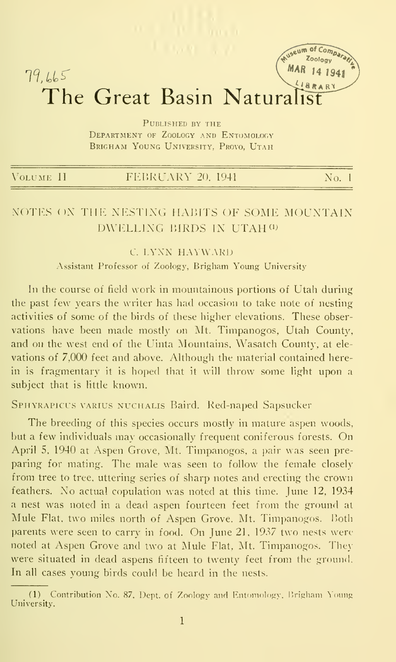# MAR 14 1941  $79.665$ The Great Basin Naturalist

useum of Compara

Published by the DEPARTMENT OF ZOOLOGY AND ENTOMOLOGY BRIGHAM YOUNG UNIVERSITY. PROVO. UTAH

| VOLUME II | FEBRUARY 20, 1941 | No. 1 |
|-----------|-------------------|-------|
|           |                   |       |

# NOTES ON THE NESTING HABITS OF SOME MOUNTAIN DWELLING BIRDS IN UTAH (1)

#### C. LYXN HAYWARD

Assistant Professor of Zoology, Brigham Young University

In the course of field work in mountainous portions of Utah during the past few years the writer has had occasion to take note of nesting activities of some of the birds of these higher elevations. These observations have been made mostly on Mt. Timpanogos, Utah County, and on the west end of the Uinta Mountains, Wasatch County, at ele vations of 7,000 feet and above. Although the material contained herein is fragmentary it is hoped that it will throw some light upon a subject that is little known.

#### SPHYRAPICUS VARIUS NUCHALIS Baird. Red-naped Sapsucker

The breeding of this species occurs mostly in mature aspen woods, but <sup>a</sup> few individuals may occasionally frequent coniferous forests. On April 5, 1940 at Aspen Grove, Mt. Timpanogos. a pair was seen pre paring for mating. The male was seen to follow the female closely from tree to tree, uttering series of sharp notes and erecting the crown feathers. No actual copulation was noted at this time. June 12, 1934 a nest was noted in a dead aspen fourteen feet from the ground at Mule Flat, two miles north of Aspen Grove. Mt. Timpanogos. Both parents were seen to carry in food. On June 21, 1937 two nests were noted at Aspen Grove and two at Mule Flat. Mt. Timpanogos. Theywere situated in dead aspens fifteen to twenty feet from the ground. In all cases voung birds could be heard in the nests.

<sup>(1)</sup> Contribution No. 87, Dept. of Zoology and Entomology, Brigham Young University.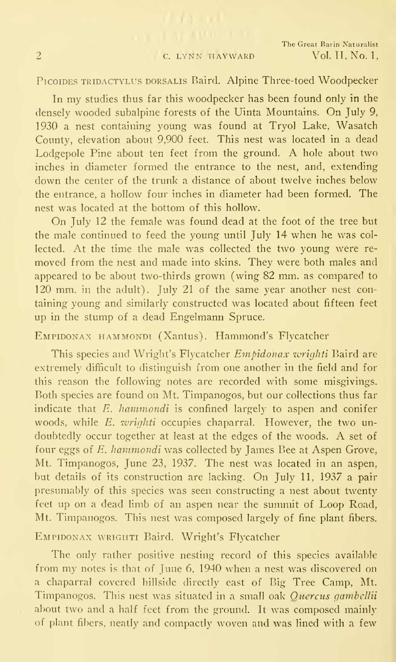$(1 - 1)$   $(1 - 1)$ 

#### PicoiDES TRiDACTYLUs DORSALis Baird. Alpine Three-toed Woodpecker

In my studies thus far this woodpecker has been found only in the densely wooded subalpine forests of the Uinta Mountains. On July 9, 1930 a nest containing young was found at Tryol Lake, Wasatch County, elevation about 9,900 feet. This nest was located in a dead Lodgepole Pine about ten feet from the ground. A hole about two inches in diameter formed the entrance to the nest, and, extending down the center of the trunk a distance of about twelve inches below the entrance, a hollow four inches in diameter had been formed. The nest was located at the bottom of this hollow.

On July <sup>12</sup> the female was found dead at the foot of the tree but the male continued to feed the young until July 14 when he was col lected. At the time the male was collected the two young were re moved from the nest and made into skins. They were both males and appeared to be about two-thirds grown (wing 82 mm. as compared to 120 mm. in the adult). July 21 of the same year another nest containing young and similarly constructed was located about fifteen feet up in the stump of a dead Engelmann Spruce.

# Empidonax hammondi (Xantus). Hammond's Flycatcher

This species and Wright's Flycatcher Empidonax wrighti Baird are extremely difficult to distinguish from one another in the field and for this reason the following notes are recorded with some misgivings. Both species are found on Mt. Timpanogos, but our collections thus far indicate that  $E$ . hammondi is confined largely to aspen and conifer woods, while E. wrighti occupies chaparral. However, the two un doubtedly occur together at least at the edges of the woods. A set of four eggs of E. hammondi was collected by James Bee at Aspen Grove, Mt. Timpanogos, June 23, 1937. The nest was located in an aspen, but details of its construction are lacking. On July 11, 1937 a pair presumably of this species was seen constructing a nest about twenty feet up on a dead limb of an aspen near the summit of Loop Road, Mt. Timpanogos. This nest was composed largely of fine plant fibers.

#### EMPIDONAX WRIGHTI Baird. Wright's Flycatcher

The only rather positive nesting record of this species available from my notes is that of June 6, 1940 when a nest was discovered on a chaparral covered hillside directly east of Big Tree Camp, Mt. Timpanogos. This nest was situated in a small oak *Quercus gambellii* about two and a half feet from the ground. It was composed mainly of plant fibers, neatly and compactly woven and was lined with a few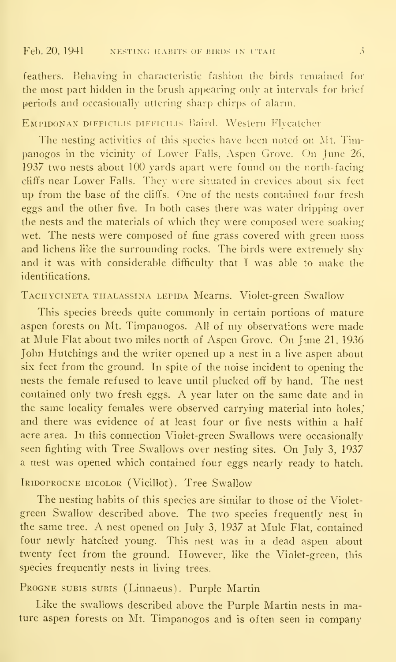feathers. Behaving in characteristic fashion the birds remained for the most part hidden in the brush appearing only at intervals for brief periods and occasionally uttering sharp chirps of alarm.

#### EMPIDONAX DIFFICILIS DIFFICILIS Baird. Western Flycatcher

The nesting activities of this species have been noted on Alt. Timpanogos in the vicinity of Lower Falls, Aspen Grove. On June 26. 1937 two nests about 100 yards apart were found on the north-facing clififs near Lower Falls. They were situated in crevices about six feet up from the base of the cliffs. One of the nests contained four fresh eggs and the other five. In both cases there was water dripping over the nests and the materials of which they were composed were soaking wet. The nests were composed of fine grass covered with green moss and lichens like the surrounding rocks. The birds were extremely shyand it was with considerable difficulty that <sup>I</sup> was able to make the identifications.

#### Tachycineta thalassina lepida Mearns. Violet-green Swallow

This species breeds quite commonly in certain portions of mature aspen forests on Mt. Timpanogos. All of my observations were made at Mule Flat about two miles north of Aspen Grove. On June 21, 1936 John Hutchings and the writer opened up a nest in a live aspen about six feet from the ground. In spite of the noise incident to opening the nests the female refused to leave until plucked ofif by hand. The nest contained only two fresh eggs. A year later on the same date and in the same locality females were observed carrying material into holes,' and there was evidence of at least four or five nests within a half acre area. In this connection Violet-green Swallows were occasionally seen fighting with Tree Swallows over nesting sites. On July 3, 1937 a nest was opened which contained four eggs nearly ready to hatch.

#### Iridoprocne bicolor (Vieillot). Tree Swallow

The nesting habits of this species are similar to those of the Violetgreen Swallow described above. The two species frequently nest in the same tree. A nest opened on July 3, <sup>1937</sup> at Mule Flat, contained four newly hatched young. This nest was in a dead aspen about twenty feet from the ground. However, like the Violet-green, this species frequently nests in living trees.

# Progne subis subis (Linnaeus). Purple Martin

Like the swallows described above the Purple Martin nests in mature aspen forests on Mt. Timpanogos and is often seen in company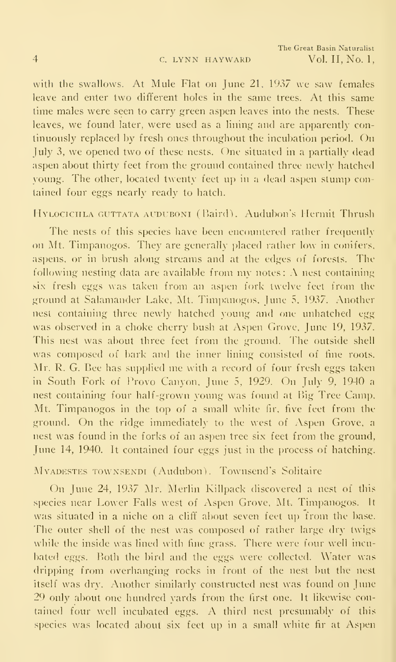with the swallows. At Mule Flat on June 21, 1937 we saw females leave and enter two different holes in the same trees. At this same time males were seen to carry green aspen leaves into the nests. These leaves, we found later, were used as a lining and are apparently continuously replaced by fresh ones throughout the incubation period. Ou July 3, we opened two of these nests. One situated in <sup>a</sup> partially dead aspen about thirty feet from the ground contained three newly hatched young. The other, located twenty feet up in a dead aspen stump contained four eggs nearly ready to hatch.

#### HYLOCICHLA GUTTATA AUDUBONI (Baird). Audubon's Hermit Thrush

The nests of this species have been encountered rather frequently on Mt. Timpanogos. They are generally placed rather low in conifers, aspens, or in brush along streams and at the edges of forests. The following nesting data are available from my notes: A nest containing six fresh eggs was taken from an aspen fork twelve feet from the ground at Salamander Lake, Mt. Timpanogos, June 5, 1937. Another nest containing three newly hatched young and one unhatched egg was observed in a choke cherry bush at Aspen Grove, June 19, 1937. This nest was about three feet from the ground. The outside shell was composed of bark and the inner lining consisted of fine roots. Mr. R. G. Bee has supplied me with a record of four fresh eggs taken in South Fork of Provo Canyon, June 5, 1929. On July 9, 1940 <sup>a</sup> nest containing four half-grown young was found at Big Tree Camp, Mt. Timpanogos in the top of a small white fir, five feet from the ground. On the ridge immediately to the west of Aspen Grove, <sup>a</sup> nest was found in the forks of an aspen tree six feet from the ground, June 14, 1940. It contained four eggs just in the process of hatching.

#### MvADESTES TowNSENDi (Audubon). Towuscud's Solitaire

On June 24, 1937 Mr. Merlin Killpack discovered a nest of this species near Lower Falls west of Aspen Grove. Mt. Timpanogos. It was situated in a niche on a cliff about seven feet up from the base. The outer shell of the nest was composed of rather large dry twigs while the inside was lined with fine grass. There were four well incubated eggs. Both the bird and the eggs were collected. Water was dripping from overhanging rocks in front of the nest but the nest itself was dry. Another similarly constructed nest was found on June 29 only about one hundred yards from the first one. It likewise contained four well incubated eggs. A third nest presumably of this species was located about six feet up in a small white fir at Aspen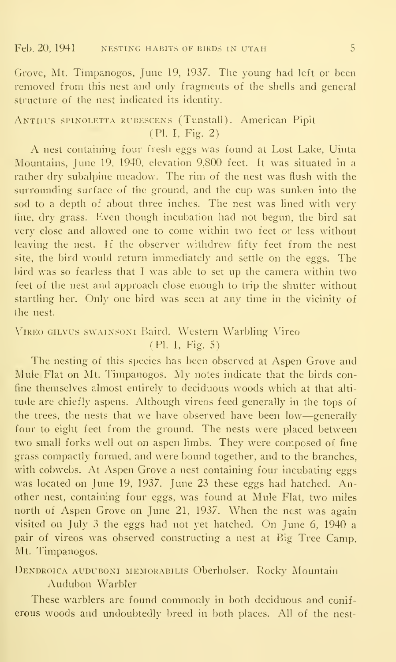Grove, Mt. Timpanogos, June 19, 1937. The young had left or been removed from this nest and only fragments of the shells and general structure of the nest indicated its identity.

# ANTIIUS SPINOLETTA RUBESCENS (Tunstall). American Pipit (PL I, Fig. 2)

A nest containing four fresh eggs was found at Lost Lake, Uinta Mountains, June 19, 1940, elevation 9,800 feet. It was situated in a rather dry subalpine meadow. The rim of the nest was flush with the surrounding surface of the ground, and the cup was sunken into the sod to a depth of about three inches. The nest was lined with very line, dry grass. Even though incubation had not begun, the bird sat very close and allowed one to come within two feet or less without leaving the nest. If the observer withdrew fifty feet from the nest site, the bird would return immediately and settle on the eggs. The bird was so fearless that I was able to set up the camera within two feet of the nest and approach close enough to trip the shutter without startling her. Only one bird was seen at any time in the vicinity of the nest.

# \'iRE0 GiLVUs swainsoni Baird. Western Warbling Vireo (PI. I, Fig. 5)

The nesting of this species has been observed at Aspen Grove and Mule Flat on Mt. Timpanogos. My notes indicate that the birds confine themselves almost entirely to deciduous woods which at that alti tude are chiefly aspens. Although vireos feed generally in the tops of the trees, the nests that we have observed have been low—generally four to eight feet from the ground. The nests were placed between two small forks well out on aspen limbs. They were composed of fine grass compactly formed, and were bound together, and to the branches, with cobwebs. At Aspen Grove a nest containing four incubating eggs was located on June 19, 1937. June 23 these eggs had hatched. Another nest, containing four eggs, was found at Mule Flat, two miles north of Aspen Grove on June 21, 1937. When the nest was again visited on July <sup>3</sup> the eggs had not yet hatched. On June 6, 1940 <sup>a</sup> pair of vireos was observed constructing a nest at Big Tree Camp. Mt. Timpanogos.

DENDROICA AUDUBONI MEMORABILIS Oberholser. Rocky Mountain Audubon Warbler

These warblers are found commonly in both deciduous and conif erous woods and undoubtedly breed in both places. All of the nest-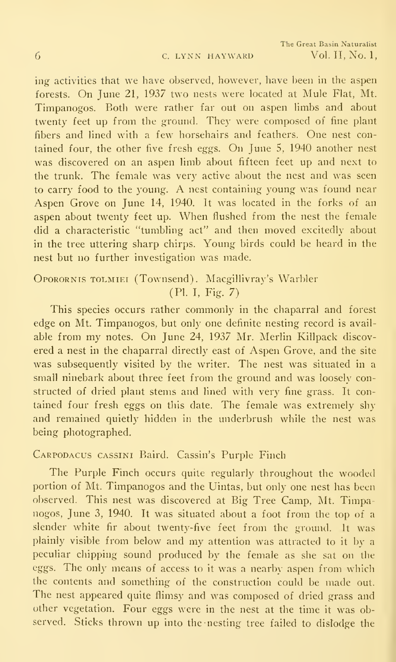ing activities that we have observed, however, have been in the aspen forests. On June 21, 1937 two nests were located at Mule Flat, Mt. Timpanogos. Both were rather far out on aspen limbs and about twenty feet up from the ground. They were composed of fine plant fibers and lined with <sup>a</sup> few horsehairs and feathers. One nest contained four, the other five fresh eggs. On June 5, 1940 another nest was discovered on an aspen limb about fifteen feet up and next to the trunk. The female was very active about the nest and was seen to carry food to the young. A nest containing young was found near Aspen Grove on June 14, 1940. It was located in the forks of an aspen about twenty feet up. When flushed from the nest the female did a characteristic "tumbling act" and then moved excitedly about in the tree uttering sharp chirps. Young birds could be heard in the nest but no further investigation was made.

# OPORORNIS TOLMIEI (Townsend). Macgillivray's Warbler (PL I, Fig. 7)

This species occurs rather commonly in the chaparral and forest edge on Mt. Timpanogos, but only one definite nesting record is avail able from my notes. On June 24, 1937 Mr. Merlin Killpack discovered a nest in the chaparral directly east of Aspen Grove, and the site was subsequently visited by the writer. The nest was situated in a small ninebark about three feet from the ground and was loosely constructed of dried plant stems and lined with very fine grass. It contained four fresh eggs on this date. The female was extremely shy and remained quietly hidden in the underbrush while the nest was being photographed.

### Carpodacus cassini Baird. Cassin's Purple Finch

The Purple Finch occurs quite regularly throughout the wooded portion of Mt. Timpanogos and the Uintas, but only one nest has been observed. This nest was discovered at Big Tree Camp, Mt. Timpanogos, June 3, 1940. It was situated about a foot from the top of a slender white fir about twenty-five feet from the ground. It was plainly visible from below and my attention was attracted to it by <sup>a</sup> peculiar chipping sound produced by the female as she sat on tlie eggs. The only means of access to it was a nearby aspen from which the contents and something of the construction could be made out. The nest appeared quite flimsy and was composed of dried grass and other vegetation. Four eggs were in the nest at the time it was observed. Sticks thrown up into the nesting tree failed to dislodge the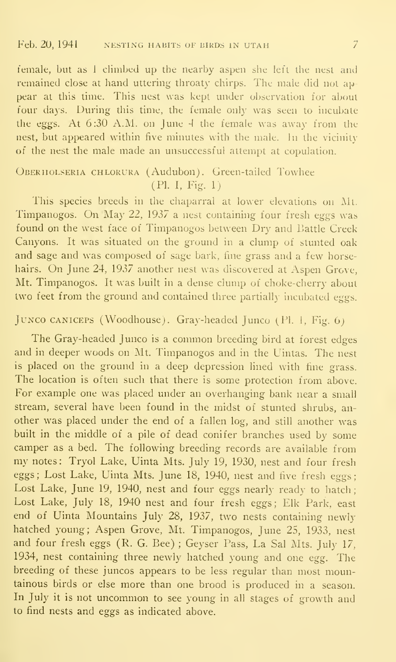female, but as I climbed up the nearby aspen she left the nest and remained close at hand uttering throaty chirps. The male did not ap pear at this time. This nest was kept under observation for about four days. During this time, the female only was seen to incubate the eggs. At 6:30 A.M. on June 4 the female was away from the nest, but appeared within five minutes with the male. In the vicinity of the nest the male made an unsuccessful attempt at copulation.

# Oberholseria chlorura (Audubon). Green-tailed Towhee (Pl. I, Fig. 1)

This species breeds in the chaparral at lower elevations on Alt. Timpanogos. On May 22, 1937 <sup>a</sup> nest containing four fresh eggs was found on the west face of Timpanogos between Dry and Battle Creek Canyons. It was situated on the ground in a clump of stunted oak and sage and was composed of sage bark, fine grass and a few horsehairs. On June 24, 1937 another nest was discovered at Aspen Grove, Mt. Timpanogos. It was built in a dense clump of choke-cherry about two feet from the ground and contained three partially incubated eggs.

# JUNCO CANICEPS (Woodhouse). Gray-headed Junco (Pl. 1, Fig. 6)

The Gray-headed Junco is <sup>a</sup> common breeding bird at forest edges and in deeper woods on Mt. Timpanogos and in the Uintas. The nest is placed on the ground in a deep depression lined with fine grass. The location is often such that there is some protection from above. For example one was placed under an overhanging bank near a small stream, several have been found in the midst of stunted shrubs, an other was placed under the end of a fallen log, and still another was built in the middle of a pile of dead conifer branches used by some camper as <sup>a</sup> bed. The following breeding records are available from my notes: Tryol Lake, Uinta Mts. July 19, 1930, nest and four fresh eggs; Lost Lake, Uinta Mts. June 18, 1940, nest and five fresh eggs; Lost Lake, June 19, 1940, nest and four eggs nearly ready to hatch; Lost Lake, July 18, 1940 nest and four fresh eggs; Elk Park, east end of Uinta Mountains July 28, 1937, two nests containing newly hatched young; Aspen Grove, Mt. Timpanogos, June 25, 1933, nest and four fresh eggs (R. G. Bee) ; Geyser Pass, La Sal Mts. July 17, 1934, nest containing three newly hatched young and one egg. The breeding of these juncos appears to be less regular than most mountainous birds or else more than one brood is produced in a season. In July it is not uncommon to see young in all stages of growth and to find nests and eggs as indicated above.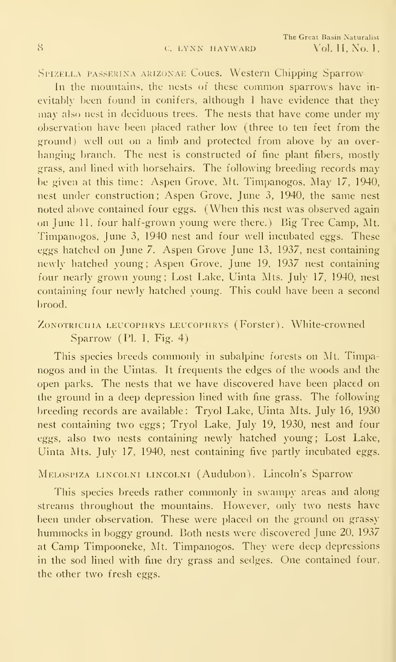#### SPIZELLA PASSERINA ARIZONAE Coues. Western Chipping Sparrow

In the mountains, the nests of these common sparrows have inevitably been found in conifers, although <sup>I</sup> have evidence that they may also nest in deciduous trees. The nests that have come under my observation have been placed rather low (three to ten feet from the ground) well out on a limb and protected from above by an overhanging branch. The nest is constructed of fine plant fibers, mostly grass, and lined with horsehairs. The following breeding records may be given at this time: Aspen Grove, Mt. Timpanogos, May 17, 1940, nest under construction; Aspen Grove, June 3, 1940, the same nest noted above contained four eggs. (When this nest was observed again on June 11, four half-grown young were there.) Big Tree Camp, Mt. Timpanogos, June 3, 1940 nest and four well incubated eggs. These eggs hatched on June 7. Aspen Grove June 13, 1937, nest containing newly hatched young; Aspen Grove, June 19, 1937 nest containing four nearly grown young; Lost Lake, Uinta Mts. July 17, 1940, nest containing four newly hatched young. This could have been a second brood.

# ZONOTRICHIA LEUCOPHRYS LEUCOPHRYS (Forster). White-crowned Sparrow (PI. I, Fig. 4)

This species breeds commonly in subalpine forests on Mt. Timpanogos and in the Uintas. It frequents the edges of the woods and the open parks. The nests that we have discovered have been placed on the ground in a deep depression lined with fine grass. The following breeding records are available: Tryol Lake, Uinta Mts. July 16, 1930 nest containing two eggs; Tryol Lake, July 19, 1930, nest and four eggs, also two nests containing newly hatched young; Lost Lake, Uinta Mts. July 17, 1940, nest containing five partly incubated eggs.

# Melospiza lincolni lincolni (Audubon). Lincoln's Sparrow

This species breeds rather commonly in swampy areas and along streams throughout the mountains. However, only two nests have been under observation. These were placed on the ground on grassy hummocks in boggy ground. Both nests were discovered June 20, 1937 at Camp Timpooneke, Mt. Timpanogos. They were deep depressions in the sod lined with fine dry grass and sedges. One contained four, the other two fresh eggs.